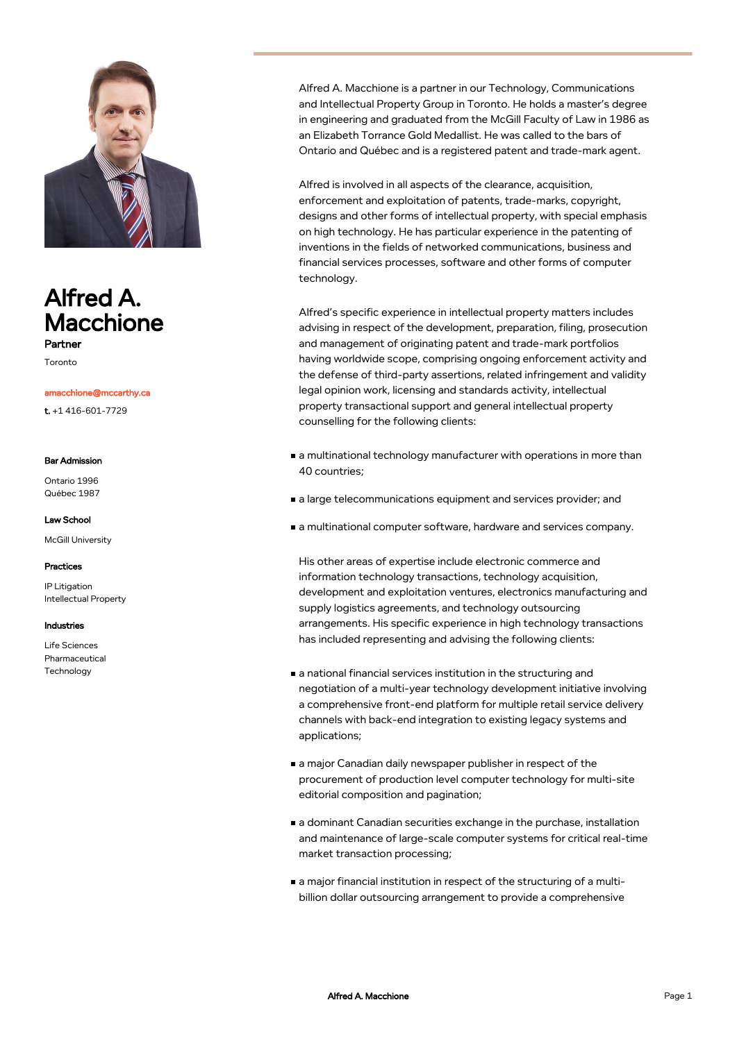

# Alfred A. Macchione Partner

Toronto

## amacchione@mccarthy.ca

t. +1 416-601-7729

#### Bar Admission

Ontario 1996 Québec 1987

### Law School

McGill University

### Practices

IP Litigation Intellectual Property

### Industries

Life Sciences Pharmaceutical Technology

Alfred A. Macchione is a partner in our Technology, Communications and Intellectual Property Group in Toronto. He holds a master's degree in engineering and graduated from the McGill Faculty of Law in 1986 as an Elizabeth Torrance Gold Medallist. He was called to the bars of Ontario and Québec and is a registered patent and trade-mark agent.

Alfred is involved in all aspects of the clearance, acquisition, enforcement and exploitation of patents, trade-marks, copyright, designs and other forms of intellectual property, with special emphasis on high technology. He has particular experience in the patenting of inventions in the fields of networked communications, business and financial services processes, software and other forms of computer technology.

Alfred's specific experience in intellectual property matters includes advising in respect of the development, preparation, filing, prosecution and management of originating patent and trade-mark portfolios having worldwide scope, comprising ongoing enforcement activity and the defense of third-party assertions, related infringement and validity legal opinion work, licensing and standards activity, intellectual property transactional support and general intellectual property counselling for the following clients:

- a multinational technology manufacturer with operations in more than 40 countries;
- a large telecommunications equipment and services provider; and
- a multinational computer software, hardware and services company.

His other areas of expertise include electronic commerce and information technology transactions, technology acquisition, development and exploitation ventures, electronics manufacturing and supply logistics agreements, and technology outsourcing arrangements. His specific experience in high technology transactions has included representing and advising the following clients:

- a national financial services institution in the structuring and negotiation of a multi-year technology development initiative involving a comprehensive front-end platform for multiple retail service delivery channels with back-end integration to existing legacy systems and applications;
- a major Canadian daily newspaper publisher in respect of the procurement of production level computer technology for multi-site editorial composition and pagination;
- a dominant Canadian securities exchange in the purchase, installation and maintenance of large-scale computer systems for critical real-time market transaction processing;
- a major financial institution in respect of the structuring of a multibillion dollar outsourcing arrangement to provide a comprehensive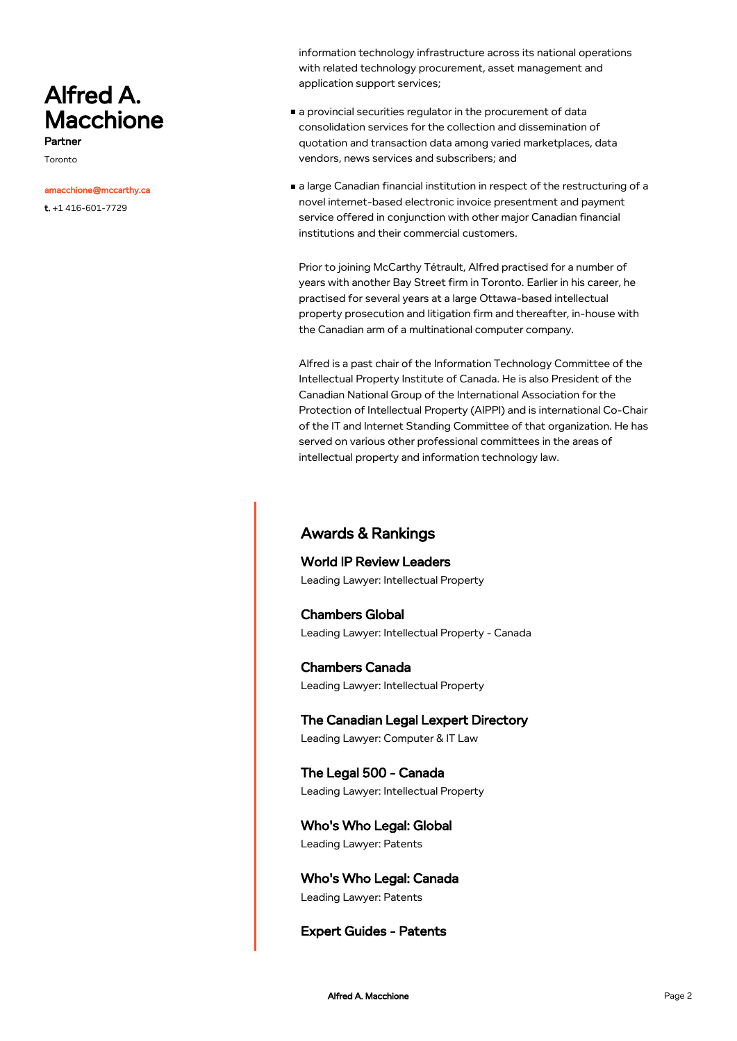# Alfred A. Macchione Partner

Toronto

#### amacchione@mccarthy.ca

t. +1 416-601-7729

information technology infrastructure across its national operations with related technology procurement, asset management and application support services;

- a provincial securities regulator in the procurement of data consolidation services for the collection and dissemination of quotation and transaction data among varied marketplaces, data vendors, news services and subscribers; and
- a large Canadian financial institution in respect of the restructuring of a novel internet-based electronic invoice presentment and payment service offered in conjunction with other major Canadian financial institutions and their commercial customers.

Prior to joining McCarthy Tétrault, Alfred practised for a number of years with another Bay Street firm in Toronto. Earlier in his career, he practised for several years at a large Ottawa-based intellectual property prosecution and litigation firm and thereafter, in-house with the Canadian arm of a multinational computer company.

Alfred is a past chair of the Information Technology Committee of the Intellectual Property Institute of Canada. He is also President of the Canadian National Group of the International Association for the Protection of Intellectual Property (AIPPI) and is international Co-Chair of the IT and Internet Standing Committee of that organization. He has served on various other professional committees in the areas of intellectual property and information technology law.

# Awards & Rankings

World IP Review Leaders Leading Lawyer: Intellectual Property

Chambers Global Leading Lawyer: Intellectual Property - Canada

Chambers Canada Leading Lawyer: Intellectual Property

The Canadian Legal Lexpert Directory Leading Lawyer: Computer & IT Law

The Legal 500 - Canada Leading Lawyer: Intellectual Property

Who's Who Legal: Global Leading Lawyer: Patents

Who's Who Legal: Canada Leading Lawyer: Patents

Expert Guides - Patents